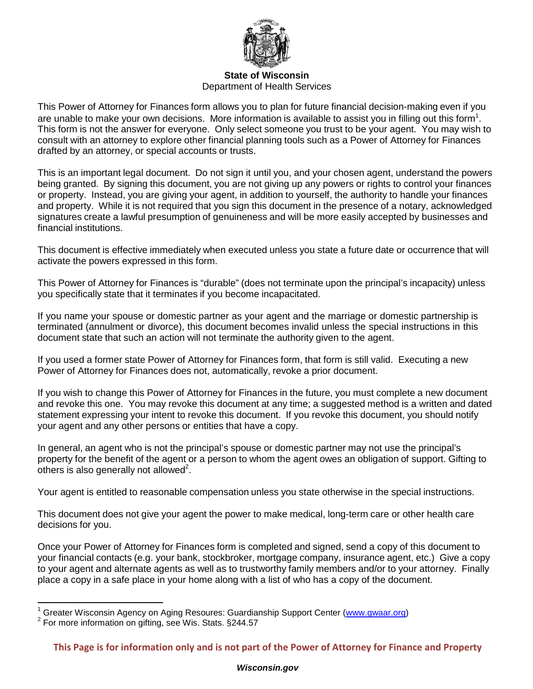

**State of Wisconsin** Department of Health Services

This Power of Attorney for Finances form allows you to plan for future financial decision-making even if you are unable to make your own decisions. More information is available to assist you in filling out this form<sup>1</sup>. This form is not the answer for everyone. Only select someone you trust to be your agent. You may wish to consult with an attorney to explore other financial planning tools such as a Power of Attorney for Finances drafted by an attorney, or special accounts or trusts.

This is an important legal document. Do not sign it until you, and your chosen agent, understand the powers being granted. By signing this document, you are not giving up any powers or rights to control your finances or property. Instead, you are giving your agent, in addition to yourself, the authority to handle your finances and property. While it is not required that you sign this document in the presence of a notary, acknowledged signatures create a lawful presumption of genuineness and will be more easily accepted by businesses and financial institutions.

This document is effective immediately when executed unless you state a future date or occurrence that will activate the powers expressed in this form.

This Power of Attorney for Finances is "durable" (does not terminate upon the principal's incapacity) unless you specifically state that it terminates if you become incapacitated.

If you name your spouse or domestic partner as your agent and the marriage or domestic partnership is terminated (annulment or divorce), this document becomes invalid unless the special instructions in this document state that such an action will not terminate the authority given to the agent.

If you used a former state Power of Attorney for Finances form, that form is still valid. Executing a new Power of Attorney for Finances does not, automatically, revoke a prior document.

If you wish to change this Power of Attorney for Finances in the future, you must complete a new document and revoke this one. You may revoke this document at any time; a suggested method is a written and dated statement expressing your intent to revoke this document. If you revoke this document, you should notify your agent and any other persons or entities that have a copy.

In general, an agent who is not the principal's spouse or domestic partner may not use the principal's property for the benefit of the agent or a person to whom the agent owes an obligation of support. Gifting to others is also generally not allowed<sup>2</sup>.

Your agent is entitled to reasonable compensation unless you state otherwise in the special instructions.

This document does not give your agent the power to make medical, long-term care or other health care decisions for you.

Once your Power of Attorney for Finances form is completed and signed, send a copy of this document to your financial contacts (e.g. your bank, stockbroker, mortgage company, insurance agent, etc.) Give a copy to your agent and alternate agents as well as to trustworthy family members and/or to your attorney. Finally place a copy in a safe place in your home along with a list of who has a copy of the document.

<sup>&</sup>lt;sup>1</sup> Greater Wisconsin Agency on Aging Resoures: Guardianship Support Center (www.gwaar.org) <sup>2</sup> For more information on gifting, see Wis. Stats. §244.57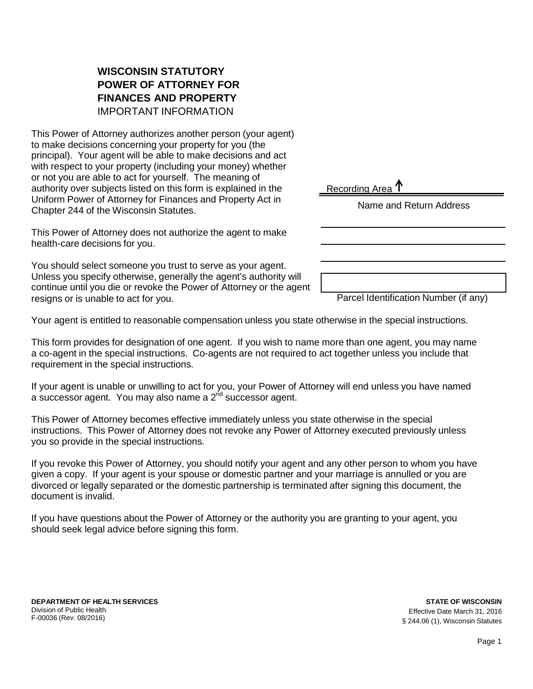# **WISCONSIN STATUTORY POWER OF ATTORNEY FOR FINANCES AND PROPERTY**  IMPORTANT INFORMATION

This Power of Attorney authorizes another person (your agent) to make decisions concerning your property for you (the principal). Your agent will be able to make decisions and act with respect to your property (including your money) whether or not you are able to act for yourself. The meaning of authority over subjects listed on this form is explained in the Uniform Power of Attorney for Finances and Property Act in Chapter 244 of the Wisconsin Statutes.

This Power of Attorney does not authorize the agent to make health-care decisions for you.

You should select someone you trust to serve as your agent. Unless you specify otherwise, generally the agent's authority will continue until you die or revoke the Power of Attorney or the agent resigns or is unable to act for you. The example of the extreme Parcel Identification Number (if any)

Your agent is entitled to reasonable compensation unless you state otherwise in the special instructions.

This form provides for designation of one agent. If you wish to name more than one agent, you may name a co-agent in the special instructions. Co-agents are not required to act together unless you include that requirement in the special instructions.

If your agent is unable or unwilling to act for you, your Power of Attorney will end unless you have named a successor agent. You may also name a 2<sup>nd</sup> successor agent.

This Power of Attorney becomes effective immediately unless you state otherwise in the special instructions. This Power of Attorney does not revoke any Power of Attorney executed previously unless you so provide in the special instructions.

If you revoke this Power of Attorney, you should notify your agent and any other person to whom you have given a copy. If your agent is your spouse or domestic partner and your marriage is annulled or you are divorced or legally separated or the domestic partnership is terminated after signing this document, the document is invalid.

If you have questions about the Power of Attorney or the authority you are granting to your agent, you should seek legal advice before signing this form.

**DEPARTMENT OF HEALTH SERVICES** Division of Public Health F-00036 (Rev. 08/2016)

Name and Return Address

Recording Area

**STATE OF WISCONSIN**  Effective Date March 31, 2016 § 244.06 (1), Wisconsin Statutes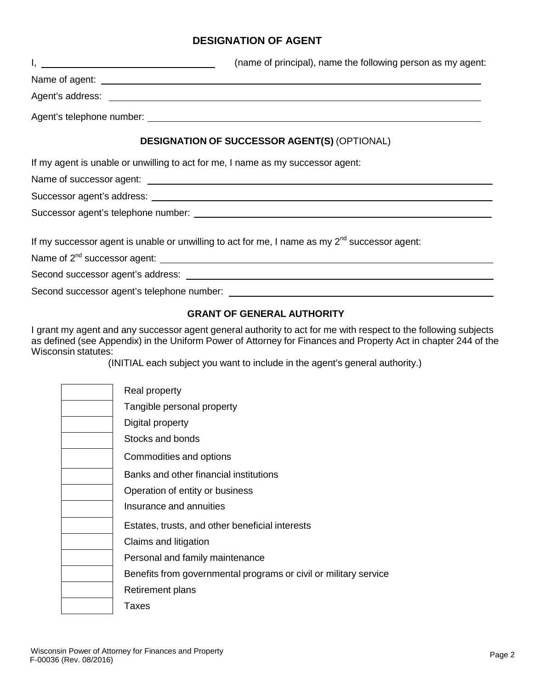# **DESIGNATION OF AGENT**

| <u>1, experimental and the set of the set of the set of the set of the set of the set of the set of the set of the set of the set of the set of the set of the set of the set of the set of the set of the set of the set of the</u> | (name of principal), name the following person as my agent:                                                                                                                                                                                                                              |
|--------------------------------------------------------------------------------------------------------------------------------------------------------------------------------------------------------------------------------------|------------------------------------------------------------------------------------------------------------------------------------------------------------------------------------------------------------------------------------------------------------------------------------------|
|                                                                                                                                                                                                                                      | Name of agent: Name of agent:                                                                                                                                                                                                                                                            |
|                                                                                                                                                                                                                                      |                                                                                                                                                                                                                                                                                          |
|                                                                                                                                                                                                                                      |                                                                                                                                                                                                                                                                                          |
|                                                                                                                                                                                                                                      | <b>DESIGNATION OF SUCCESSOR AGENT(S) (OPTIONAL)</b>                                                                                                                                                                                                                                      |
| If my agent is unable or unwilling to act for me, I name as my successor agent:                                                                                                                                                      |                                                                                                                                                                                                                                                                                          |
|                                                                                                                                                                                                                                      |                                                                                                                                                                                                                                                                                          |
|                                                                                                                                                                                                                                      |                                                                                                                                                                                                                                                                                          |
|                                                                                                                                                                                                                                      |                                                                                                                                                                                                                                                                                          |
|                                                                                                                                                                                                                                      | If my successor agent is unable or unwilling to act for me, I name as my 2 <sup>nd</sup> successor agent:                                                                                                                                                                                |
|                                                                                                                                                                                                                                      | Name of $2^{nd}$ successor agent: $\frac{1}{2}$ and $\frac{1}{2}$ and $\frac{1}{2}$ and $\frac{1}{2}$ and $\frac{1}{2}$ and $\frac{1}{2}$ and $\frac{1}{2}$ and $\frac{1}{2}$ and $\frac{1}{2}$ and $\frac{1}{2}$ and $\frac{1}{2}$ and $\frac{1}{2}$ and $\frac{1}{2}$ and $\frac{1}{2$ |
|                                                                                                                                                                                                                                      |                                                                                                                                                                                                                                                                                          |
|                                                                                                                                                                                                                                      |                                                                                                                                                                                                                                                                                          |

# **GRANT OF GENERAL AUTHORITY**

I grant my agent and any successor agent general authority to act for me with respect to the following subjects as defined (see Appendix) in the Uniform Power of Attorney for Finances and Property Act in chapter 244 of the Wisconsin statutes:

(INITIAL each subject you want to include in the agent's general authority.)

| Real property                                                    |  |
|------------------------------------------------------------------|--|
| Tangible personal property                                       |  |
| Digital property                                                 |  |
| Stocks and bonds                                                 |  |
| Commodities and options                                          |  |
| Banks and other financial institutions                           |  |
| Operation of entity or business                                  |  |
| Insurance and annuities                                          |  |
| Estates, trusts, and other beneficial interests                  |  |
| Claims and litigation                                            |  |
| Personal and family maintenance                                  |  |
| Benefits from governmental programs or civil or military service |  |
| Retirement plans                                                 |  |
| Taxes                                                            |  |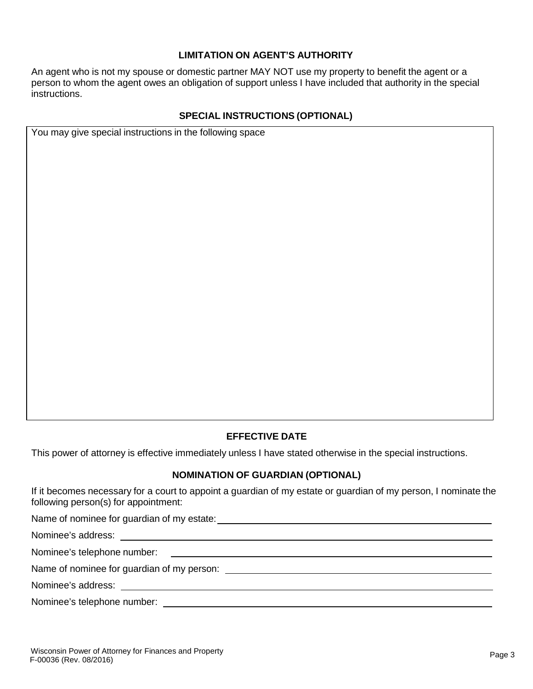## **LIMITATION ON AGENT'S AUTHORITY**

An agent who is not my spouse or domestic partner MAY NOT use my property to benefit the agent or a person to whom the agent owes an obligation of support unless I have included that authority in the special instructions.

## **SPECIAL INSTRUCTIONS (OPTIONAL)**

You may give special instructions in the following space

# **EFFECTIVE DATE**

This power of attorney is effective immediately unless I have stated otherwise in the special instructions.

## **NOMINATION OF GUARDIAN (OPTIONAL)**

If it becomes necessary for a court to appoint a guardian of my estate or guardian of my person, I nominate the following person(s) for appointment:

Name of nominee for guardian of my estate: <u>contained and contained</u> and contained a state of the state of the state of the state of the state of the state of the state of the state of the state of the state of the state o

Nominee's address:

Nominee's telephone number:

Name of nominee for guardian of my person:

Nominee's address:

Nominee's telephone number: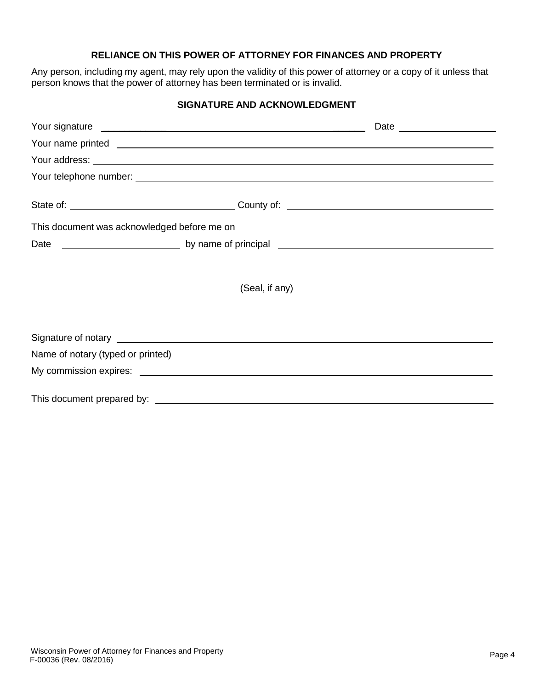### **RELIANCE ON THIS POWER OF ATTORNEY FOR FINANCES AND PROPERTY**

Any person, including my agent, may rely upon the validity of this power of attorney or a copy of it unless that person knows that the power of attorney has been terminated or is invalid.

|                                                                                                                                                                                                                                      | SIGNATURE AND ACKNOWLEDGMENT |  |
|--------------------------------------------------------------------------------------------------------------------------------------------------------------------------------------------------------------------------------------|------------------------------|--|
| Your signature <b>contract and the contract of the contract of the contract of the contract of the contract of the contract of the contract of the contract of the contract of the contract of the contract of the contract of t</b> |                              |  |
|                                                                                                                                                                                                                                      |                              |  |
|                                                                                                                                                                                                                                      |                              |  |
|                                                                                                                                                                                                                                      |                              |  |
|                                                                                                                                                                                                                                      |                              |  |
| This document was acknowledged before me on                                                                                                                                                                                          |                              |  |
|                                                                                                                                                                                                                                      |                              |  |
|                                                                                                                                                                                                                                      |                              |  |
|                                                                                                                                                                                                                                      | (Seal, if any)               |  |
|                                                                                                                                                                                                                                      |                              |  |
|                                                                                                                                                                                                                                      |                              |  |
|                                                                                                                                                                                                                                      |                              |  |
|                                                                                                                                                                                                                                      |                              |  |

# **SIGNATURE AND ACKNOWLEDGMENT**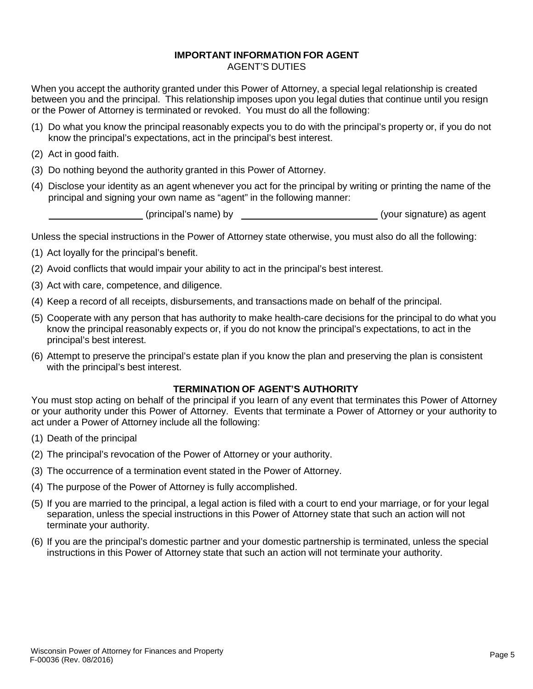### **IMPORTANT INFORMATION FOR AGENT** AGENT'S DUTIES

When you accept the authority granted under this Power of Attorney, a special legal relationship is created between you and the principal. This relationship imposes upon you legal duties that continue until you resign or the Power of Attorney is terminated or revoked. You must do all the following:

- (1) Do what you know the principal reasonably expects you to do with the principal's property or, if you do not know the principal's expectations, act in the principal's best interest.
- (2) Act in good faith.
- (3) Do nothing beyond the authority granted in this Power of Attorney.
- (4) Disclose your identity as an agent whenever you act for the principal by writing or printing the name of the principal and signing your own name as "agent" in the following manner:

(principal's name) by (your signature) as agent

Unless the special instructions in the Power of Attorney state otherwise, you must also do all the following:

- (1) Act loyally for the principal's benefit.
- (2) Avoid conflicts that would impair your ability to act in the principal's best interest.
- (3) Act with care, competence, and diligence.
- (4) Keep a record of all receipts, disbursements, and transactions made on behalf of the principal.
- (5) Cooperate with any person that has authority to make health-care decisions for the principal to do what you know the principal reasonably expects or, if you do not know the principal's expectations, to act in the principal's best interest.
- (6) Attempt to preserve the principal's estate plan if you know the plan and preserving the plan is consistent with the principal's best interest.

#### **TERMINATION OF AGENT'S AUTHORITY**

You must stop acting on behalf of the principal if you learn of any event that terminates this Power of Attorney or your authority under this Power of Attorney. Events that terminate a Power of Attorney or your authority to act under a Power of Attorney include all the following:

- (1) Death of the principal
- (2) The principal's revocation of the Power of Attorney or your authority.
- (3) The occurrence of a termination event stated in the Power of Attorney.
- (4) The purpose of the Power of Attorney is fully accomplished.
- (5) If you are married to the principal, a legal action is filed with a court to end your marriage, or for your legal separation, unless the special instructions in this Power of Attorney state that such an action will not terminate your authority.
- (6) If you are the principal's domestic partner and your domestic partnership is terminated, unless the special instructions in this Power of Attorney state that such an action will not terminate your authority.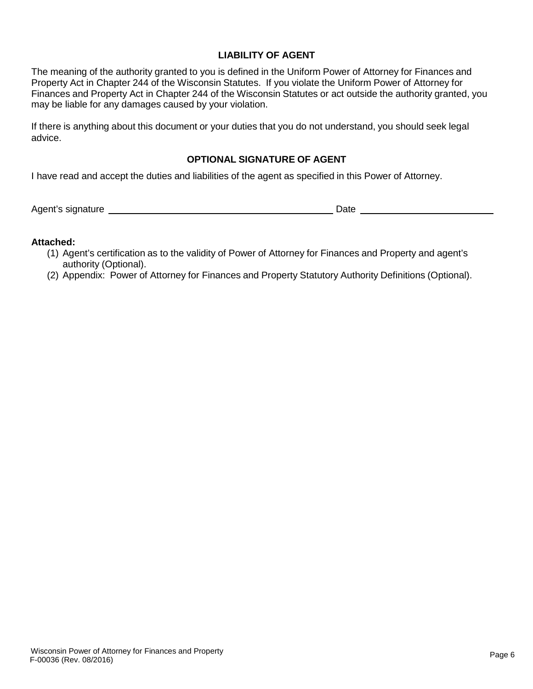## **LIABILITY OF AGENT**

The meaning of the authority granted to you is defined in the Uniform Power of Attorney for Finances and Property Act in Chapter 244 of the Wisconsin Statutes. If you violate the Uniform Power of Attorney for Finances and Property Act in Chapter 244 of the Wisconsin Statutes or act outside the authority granted, you may be liable for any damages caused by your violation.

If there is anything about this document or your duties that you do not understand, you should seek legal advice.

## **OPTIONAL SIGNATURE OF AGENT**

I have read and accept the duties and liabilities of the agent as specified in this Power of Attorney.

Agent's signature **Date Date Date Date Date Date** 

### **Attached:**

- (1) Agent's certification as to the validity of Power of Attorney for Finances and Property and agent's authority (Optional).
- (2) Appendix: Power of Attorney for Finances and Property Statutory Authority Definitions (Optional).